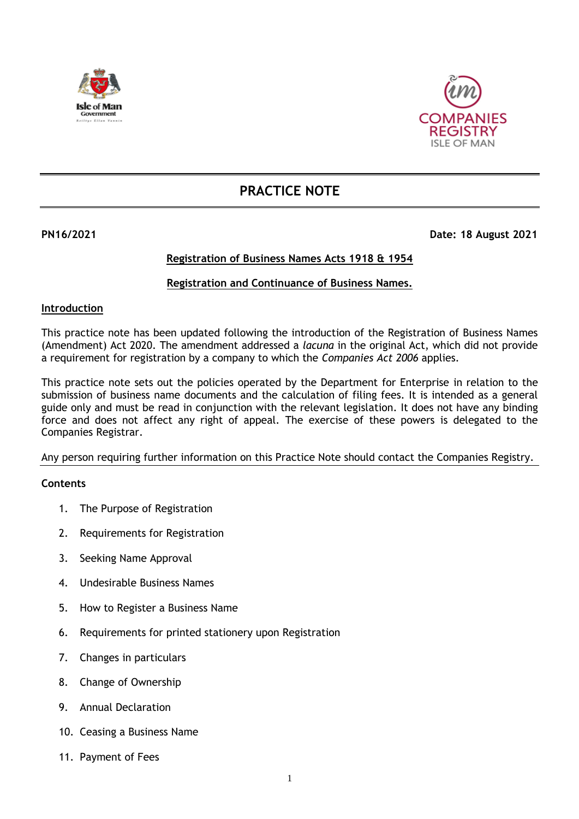



# **PRACTICE NOTE**

# **PN16/2021 Date: 18 August 2021**

# **Registration of Business Names Acts 1918 & 1954**

# **Registration and Continuance of Business Names.**

# **Introduction**

This practice note has been updated following the introduction of the Registration of Business Names (Amendment) Act 2020. The amendment addressed a *lacuna* in the original Act, which did not provide a requirement for registration by a company to which the *Companies Act 2006* applies.

This practice note sets out the policies operated by the Department for Enterprise in relation to the submission of business name documents and the calculation of filing fees. It is intended as a general guide only and must be read in conjunction with the relevant legislation. It does not have any binding force and does not affect any right of appeal. The exercise of these powers is delegated to the Companies Registrar.

Any person requiring further information on this Practice Note should contact the Companies Registry.

# **Contents**

- 1. The Purpose of Registration
- 2. Requirements for Registration
- 3. Seeking Name Approval
- 4. Undesirable Business Names
- 5. How to Register a Business Name
- 6. Requirements for printed stationery upon Registration
- 7. Changes in particulars
- 8. Change of Ownership
- 9. Annual Declaration
- 10. Ceasing a Business Name
- 11. Payment of Fees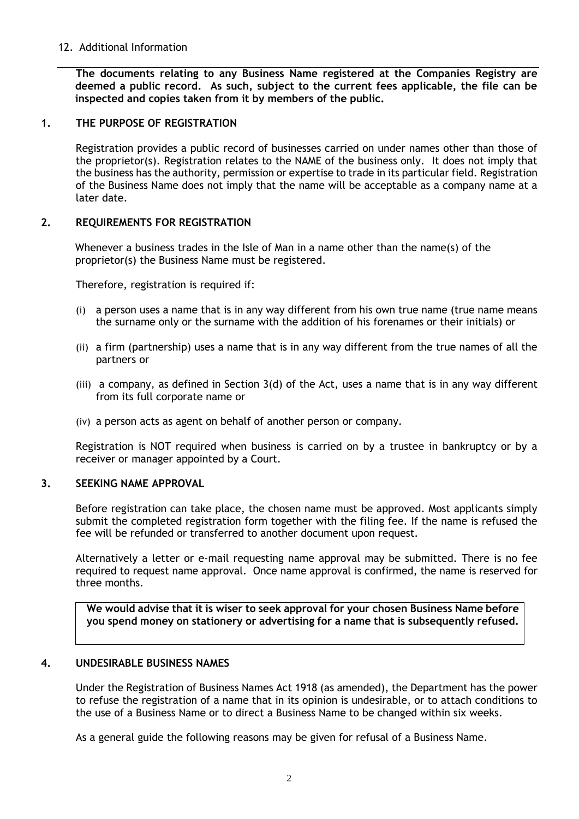# 12. Additional Information

**The documents relating to any Business Name registered at the Companies Registry are deemed a public record. As such, subject to the current fees applicable, the file can be inspected and copies taken from it by members of the public.** 

## **1. THE PURPOSE OF REGISTRATION**

Registration provides a public record of businesses carried on under names other than those of the proprietor(s). Registration relates to the NAME of the business only. It does not imply that the business has the authority, permission or expertise to trade in its particular field. Registration of the Business Name does not imply that the name will be acceptable as a company name at a later date.

#### **2. REQUIREMENTS FOR REGISTRATION**

Whenever a business trades in the Isle of Man in a name other than the name(s) of the proprietor(s) the Business Name must be registered.

Therefore, registration is required if:

- (i) a person uses a name that is in any way different from his own true name (true name means the surname only or the surname with the addition of his forenames or their initials) or
- (ii) a firm (partnership) uses a name that is in any way different from the true names of all the partners or
- (iii) a company, as defined in Section 3(d) of the Act, uses a name that is in any way different from its full corporate name or
- (iv) a person acts as agent on behalf of another person or company.

Registration is NOT required when business is carried on by a trustee in bankruptcy or by a receiver or manager appointed by a Court.

#### **3. SEEKING NAME APPROVAL**

Before registration can take place, the chosen name must be approved. Most applicants simply submit the completed registration form together with the filing fee. If the name is refused the fee will be refunded or transferred to another document upon request.

Alternatively a letter or e-mail requesting name approval may be submitted. There is no fee required to request name approval. Once name approval is confirmed, the name is reserved for three months.

**We would advise that it is wiser to seek approval for your chosen Business Name before you spend money on stationery or advertising for a name that is subsequently refused.**

# **4. UNDESIRABLE BUSINESS NAMES**

Under the Registration of Business Names Act 1918 (as amended), the Department has the power to refuse the registration of a name that in its opinion is undesirable, or to attach conditions to the use of a Business Name or to direct a Business Name to be changed within six weeks.

As a general guide the following reasons may be given for refusal of a Business Name.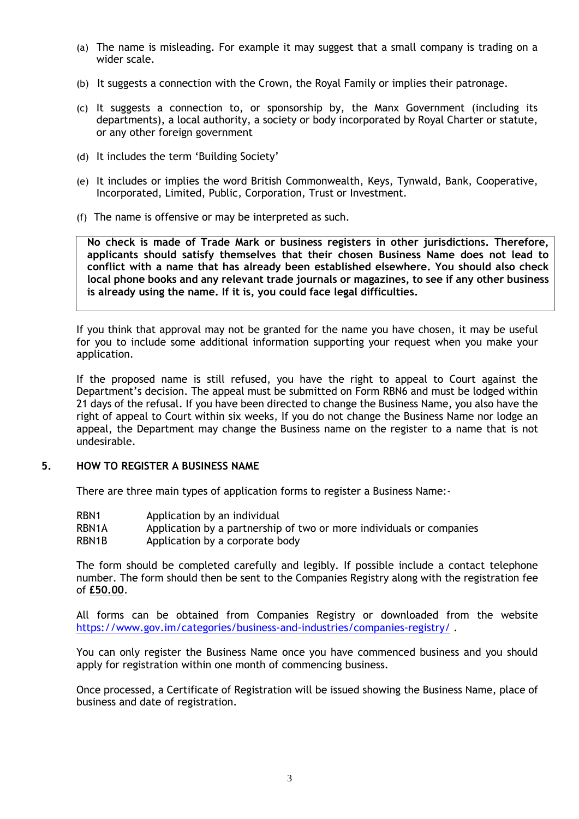- (a) The name is misleading. For example it may suggest that a small company is trading on a wider scale.
- (b) It suggests a connection with the Crown, the Royal Family or implies their patronage.
- (c) It suggests a connection to, or sponsorship by, the Manx Government (including its departments), a local authority, a society or body incorporated by Royal Charter or statute, or any other foreign government
- (d) It includes the term 'Building Society'
- (e) It includes or implies the word British Commonwealth, Keys, Tynwald, Bank, Cooperative, Incorporated, Limited, Public, Corporation, Trust or Investment.
- (f) The name is offensive or may be interpreted as such.

**No check is made of Trade Mark or business registers in other jurisdictions. Therefore, applicants should satisfy themselves that their chosen Business Name does not lead to conflict with a name that has already been established elsewhere. You should also check local phone books and any relevant trade journals or magazines, to see if any other business is already using the name. If it is, you could face legal difficulties.** 

If you think that approval may not be granted for the name you have chosen, it may be useful for you to include some additional information supporting your request when you make your application.

If the proposed name is still refused, you have the right to appeal to Court against the Department's decision. The appeal must be submitted on Form RBN6 and must be lodged within 21 days of the refusal. If you have been directed to change the Business Name, you also have the right of appeal to Court within six weeks, If you do not change the Business Name nor lodge an appeal, the Department may change the Business name on the register to a name that is not undesirable.

#### **5. HOW TO REGISTER A BUSINESS NAME**

There are three main types of application forms to register a Business Name:-

- RBN1 Application by an individual
- RBN1A Application by a partnership of two or more individuals or companies
- RBN1B Application by a corporate body

The form should be completed carefully and legibly. If possible include a contact telephone number. The form should then be sent to the Companies Registry along with the registration fee of **£50.00**.

All forms can be obtained from Companies Registry or downloaded from the website <https://www.gov.im/categories/business-and-industries/companies-registry/>.

You can only register the Business Name once you have commenced business and you should apply for registration within one month of commencing business.

Once processed, a Certificate of Registration will be issued showing the Business Name, place of business and date of registration.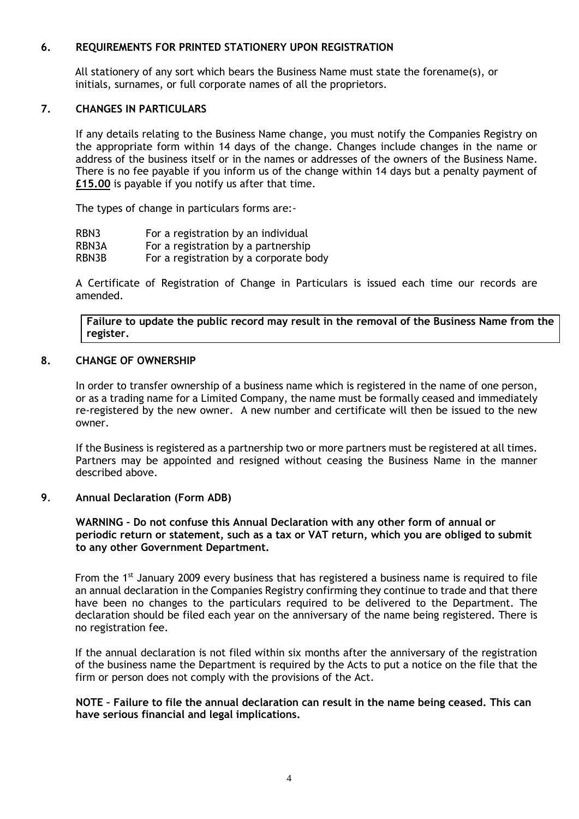# **6. REQUIREMENTS FOR PRINTED STATIONERY UPON REGISTRATION**

All stationery of any sort which bears the Business Name must state the forename(s), or initials, surnames, or full corporate names of all the proprietors.

#### **7. CHANGES IN PARTICULARS**

If any details relating to the Business Name change, you must notify the Companies Registry on the appropriate form within 14 days of the change. Changes include changes in the name or address of the business itself or in the names or addresses of the owners of the Business Name. There is no fee payable if you inform us of the change within 14 days but a penalty payment of **£15.00** is payable if you notify us after that time.

The types of change in particulars forms are:-

| RBN3  | For a registration by an individual    |
|-------|----------------------------------------|
| RBN3A | For a registration by a partnership    |
| RBN3B | For a registration by a corporate body |

A Certificate of Registration of Change in Particulars is issued each time our records are amended.

**Failure to update the public record may result in the removal of the Business Name from the register.**

#### **8. CHANGE OF OWNERSHIP**

In order to transfer ownership of a business name which is registered in the name of one person, or as a trading name for a Limited Company, the name must be formally ceased and immediately re-registered by the new owner. A new number and certificate will then be issued to the new owner.

If the Business is registered as a partnership two or more partners must be registered at all times. Partners may be appointed and resigned without ceasing the Business Name in the manner described above.

#### **9**. **Annual Declaration (Form ADB)**

**WARNING – Do not confuse this Annual Declaration with any other form of annual or periodic return or statement, such as a tax or VAT return, which you are obliged to submit to any other Government Department.**

From the  $1<sup>st</sup>$  January 2009 every business that has registered a business name is required to file an annual declaration in the Companies Registry confirming they continue to trade and that there have been no changes to the particulars required to be delivered to the Department. The declaration should be filed each year on the anniversary of the name being registered. There is no registration fee.

If the annual declaration is not filed within six months after the anniversary of the registration of the business name the Department is required by the Acts to put a notice on the file that the firm or person does not comply with the provisions of the Act.

#### **NOTE – Failure to file the annual declaration can result in the name being ceased. This can have serious financial and legal implications.**